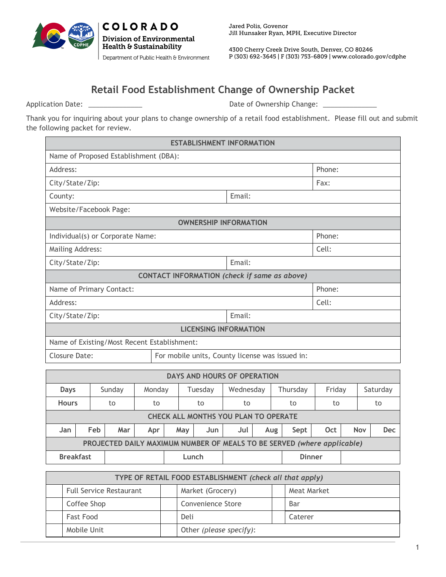

**COLORADO** 

**Division of Environmental** Health & Sustainability

Department of Public Health & Environment

Jared Polis, Govenor Jill Hunsaker Ryan, MPH, Executive Director

4300 Cherry Creek Drive South, Denver, CO 80246 P (303) 692-3645 | F (303) 753-6809 | www.colorado.gov/cdphe

## **Retail Food Establishment Change of Ownership Packet**

Application Date: \_\_\_\_\_\_\_\_\_\_\_\_\_\_ Date of Ownership Change: \_\_\_\_\_\_\_\_\_\_\_\_\_\_

Thank you for inquiring about your plans to change ownership of a retail food establishment. Please fill out and submit the following packet for review.

| <b>ESTABLISHMENT INFORMATION</b>             |                                                 |        |        |  |  |  |
|----------------------------------------------|-------------------------------------------------|--------|--------|--|--|--|
| Name of Proposed Establishment (DBA):        |                                                 |        |        |  |  |  |
| Address:                                     | Phone:                                          |        |        |  |  |  |
| City/State/Zip:                              |                                                 |        | Fax:   |  |  |  |
| County:                                      |                                                 | Email: |        |  |  |  |
| Website/Facebook Page:                       |                                                 |        |        |  |  |  |
|                                              | <b>OWNERSHIP INFORMATION</b>                    |        |        |  |  |  |
| Individual(s) or Corporate Name:             | Phone:                                          |        |        |  |  |  |
| <b>Mailing Address:</b>                      | Cell:                                           |        |        |  |  |  |
| City/State/Zip:                              | Email:                                          |        |        |  |  |  |
| CONTACT INFORMATION (check if same as above) |                                                 |        |        |  |  |  |
| Name of Primary Contact:                     |                                                 |        | Phone: |  |  |  |
| Address:                                     |                                                 |        | Cell:  |  |  |  |
| City/State/Zip:                              |                                                 | Email: |        |  |  |  |
| <b>LICENSING INFORMATION</b>                 |                                                 |        |        |  |  |  |
| Name of Existing/Most Recent Establishment:  |                                                 |        |        |  |  |  |
| Closure Date:                                | For mobile units, County license was issued in: |        |        |  |  |  |

| <b>DAYS AND HOURS OF OPERATION</b>                                      |     |        |         |     |           |     |          |               |     |            |            |
|-------------------------------------------------------------------------|-----|--------|---------|-----|-----------|-----|----------|---------------|-----|------------|------------|
| Sunday<br><b>Days</b>                                                   |     | Monday | Tuesday |     | Wednesday |     | Thursday | Friday        |     | Saturday   |            |
| <b>Hours</b>                                                            |     | to     | to      |     | to        | to  |          | to            | to  |            | to         |
| <b>CHECK ALL MONTHS YOU PLAN TO OPERATE</b>                             |     |        |         |     |           |     |          |               |     |            |            |
| Jan                                                                     | Feb | Mar    | Apr     | May | Jun       | Jul | Aug      | Sept          | Oct | <b>Nov</b> | <b>Dec</b> |
| PROJECTED DAILY MAXIMUM NUMBER OF MEALS TO BE SERVED (where applicable) |     |        |         |     |           |     |          |               |     |            |            |
| <b>Breakfast</b>                                                        |     |        |         |     | Lunch     |     |          | <b>Dinner</b> |     |            |            |

| TYPE OF RETAIL FOOD ESTABLISHMENT (check all that apply) |                                |  |                         |  |             |
|----------------------------------------------------------|--------------------------------|--|-------------------------|--|-------------|
|                                                          | <b>Full Service Restaurant</b> |  | Market (Grocery)        |  | Meat Market |
|                                                          | Coffee Shop                    |  | Convenience Store       |  | Bar         |
|                                                          | Fast Food                      |  | Deli                    |  | Caterer     |
|                                                          | Mobile Unit                    |  | Other (please specify): |  |             |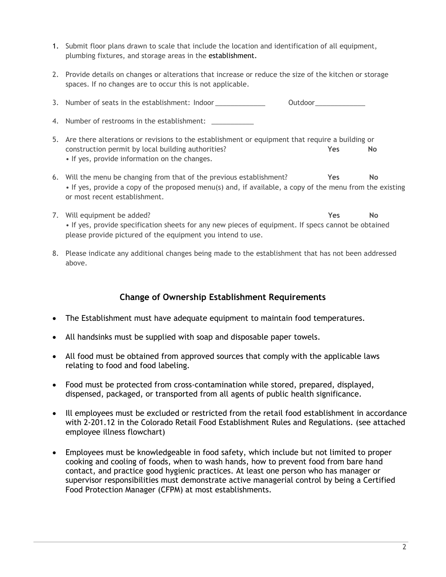- 1. Submit floor plans drawn to scale that include the location and identification of all equipment, plumbing fixtures, and storage areas in the establishment.
- 2. Provide details on changes or alterations that increase or reduce the size of the kitchen or storage spaces. If no changes are to occur this is not applicable.

3. Number of seats in the establishment: Indoor  $\qquad \qquad$  Outdoor  $\qquad \qquad$ 

- 4. Number of restrooms in the establishment:
- 5. Are there alterations or revisions to the establishment or equipment that require a building or construction permit by local building authorities? **Yes No** • If yes, provide information on the changes.
- 6. Will the menu be changing from that of the previous establishment? **Yes No** • If yes, provide a copy of the proposed menu(s) and, if available, a copy of the menu from the existing or most recent establishment.
- 7. Will equipment be added? **Yes No** • If yes, provide specification sheets for any new pieces of equipment. If specs cannot be obtained please provide pictured of the equipment you intend to use.
- 8. Please indicate any additional changes being made to the establishment that has not been addressed above.

## **Change of Ownership Establishment Requirements**

- The Establishment must have adequate equipment to maintain food temperatures.
- All handsinks must be supplied with soap and disposable paper towels.
- All food must be obtained from approved sources that comply with the applicable laws relating to food and food labeling.
- Food must be protected from cross-contamination while stored, prepared, displayed, dispensed, packaged, or transported from all agents of public health significance.
- Ill employees must be excluded or restricted from the retail food establishment in accordance with 2-201.12 in the Colorado Retail Food Establishment Rules and Regulations. (see attached employee illness flowchart)
- Employees must be knowledgeable in food safety, which include but not limited to proper cooking and cooling of foods, when to wash hands, how to prevent food from bare hand contact, and practice good hygienic practices. At least one person who has manager or supervisor responsibilities must demonstrate active managerial control by being a Certified Food Protection Manager (CFPM) at most establishments.